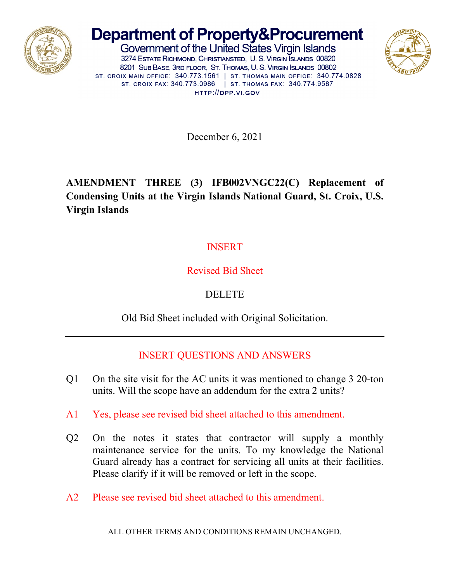

# **Department of Property&Procurement**

Government of the United States Virgin Islands 3274 ESTATE RICHMOND, CHRISTIANSTED, U. S. VIRGIN SLANDS 00820 8201 SUB BASE, 3RD FLOOR, ST. THOMAS, U. S. VIRGIN ISLANDS 00802 ST. CROIX MAIN OFFICE: 340.773.1561 | ST. THOMAS MAIN OFFICE: 340.774.0828 ST. CROIX FAX: 340.773.0986 | ST. THOMAS FAX: 340.774.9587 HTTP://DPP.VI.GOV



December 6, 2021

### **AMENDMENT THREE (3) IFB002VNGC22(C) Replacement of Condensing Units at the Virgin Islands National Guard, St. Croix, U.S. Virgin Islands**

### **INSERT**

### Revised Bid Sheet

## DELETE

Old Bid Sheet included with Original Solicitation.

### INSERT QUESTIONS AND ANSWERS

- Q1 On the site visit for the AC units it was mentioned to change 3 20-ton units. Will the scope have an addendum for the extra 2 units?
- A1 Yes, please see revised bid sheet attached to this amendment.
- Q2 On the notes it states that contractor will supply a monthly maintenance service for the units. To my knowledge the National Guard already has a contract for servicing all units at their facilities. Please clarify if it will be removed or left in the scope.
- A2 Please see revised bid sheet attached to this amendment.

ALL OTHER TERMS AND CONDITIONS REMAIN UNCHANGED.